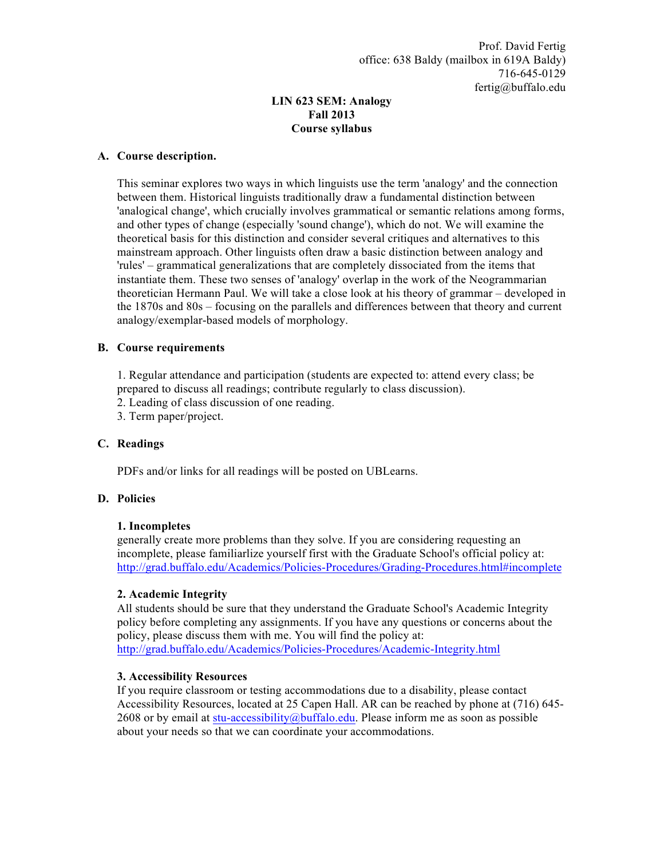# **LIN 623 SEM: Analogy Fall 2013 Course syllabus**

### **A. Course description.**

This seminar explores two ways in which linguists use the term 'analogy' and the connection between them. Historical linguists traditionally draw a fundamental distinction between 'analogical change', which crucially involves grammatical or semantic relations among forms, and other types of change (especially 'sound change'), which do not. We will examine the theoretical basis for this distinction and consider several critiques and alternatives to this mainstream approach. Other linguists often draw a basic distinction between analogy and 'rules' – grammatical generalizations that are completely dissociated from the items that instantiate them. These two senses of 'analogy' overlap in the work of the Neogrammarian theoretician Hermann Paul. We will take a close look at his theory of grammar – developed in the 1870s and 80s – focusing on the parallels and differences between that theory and current analogy/exemplar-based models of morphology.

## **B. Course requirements**

1. Regular attendance and participation (students are expected to: attend every class; be prepared to discuss all readings; contribute regularly to class discussion).

2. Leading of class discussion of one reading.

3. Term paper/project.

## **C. Readings**

PDFs and/or links for all readings will be posted on UBLearns.

#### **D. Policies**

#### **1. Incompletes**

generally create more problems than they solve. If you are considering requesting an incomplete, please familiarlize yourself first with the Graduate School's official policy at: http://grad.buffalo.edu/Academics/Policies-Procedures/Grading-Procedures.html#incomplete

#### **2. Academic Integrity**

All students should be sure that they understand the Graduate School's Academic Integrity policy before completing any assignments. If you have any questions or concerns about the policy, please discuss them with me. You will find the policy at: http://grad.buffalo.edu/Academics/Policies-Procedures/Academic-Integrity.html

#### **3. Accessibility Resources**

If you require classroom or testing accommodations due to a disability, please contact Accessibility Resources, located at 25 Capen Hall. AR can be reached by phone at (716) 645- 2608 or by email at stu-accessibility@buffalo.edu. Please inform me as soon as possible about your needs so that we can coordinate your accommodations.